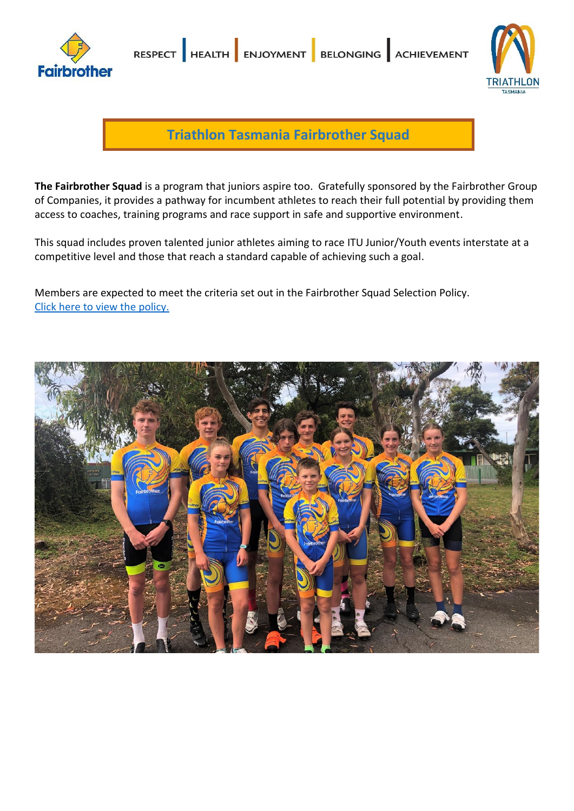



**Triathlon Tasmania Fairbrother Squad**

**The Fairbrother Squad** is a program that juniors aspire too. Gratefully sponsored by the Fairbrother Group of Companies, it provides a pathway for incumbent athletes to reach their full potential by providing them access to coaches, training programs and race support in safe and supportive environment.

This squad includes proven talented junior athletes aiming to race ITU Junior/Youth events interstate at a competitive level and those that reach a standard capable of achieving such a goal.

Members are expected to meet the criteria set out in the Fairbrother Squad Selection Policy. [Click here to view the policy.](https://www.triathlon.org.au/Assets/Triathlon+Australia+Digital+Assets/2021-22+Fairbrother+Squad+Selection+Policy+PDF.pdf)